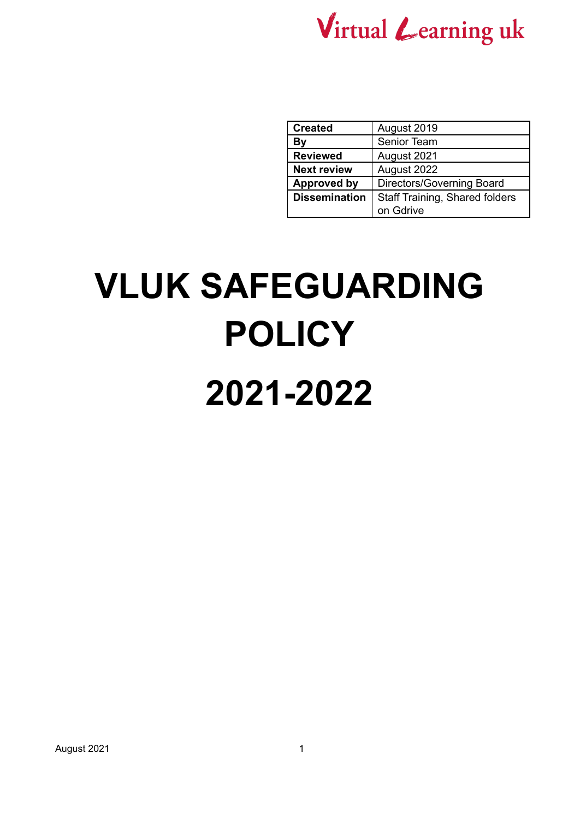

| <b>Created</b>       | August 2019                    |
|----------------------|--------------------------------|
| By                   | Senior Team                    |
| <b>Reviewed</b>      | August 2021                    |
| <b>Next review</b>   | August 2022                    |
| <b>Approved by</b>   | Directors/Governing Board      |
| <b>Dissemination</b> | Staff Training, Shared folders |
|                      | on Gdrive                      |

# **VLUK SAFEGUARDING POLICY**

### **2021-2022**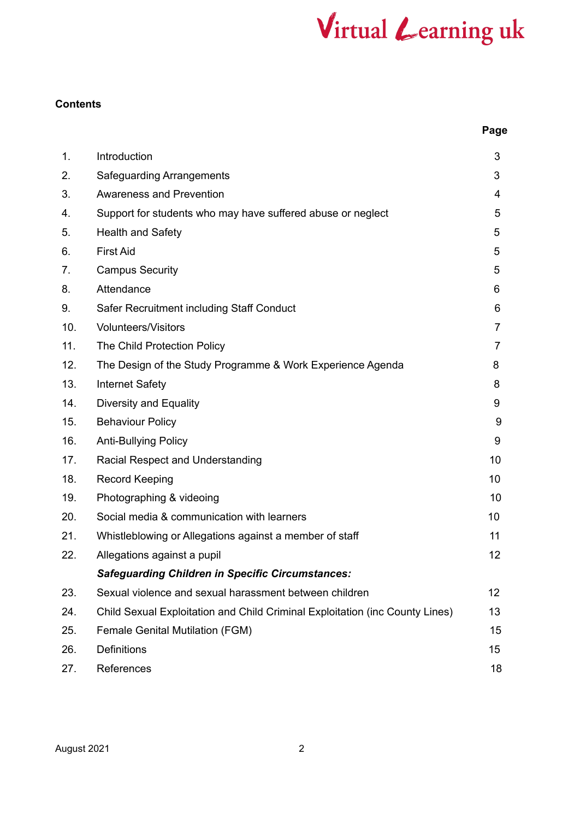#### **Contents**

| ۰.<br>. .<br>×<br>۰.<br>×<br>M.<br>۰. |
|---------------------------------------|
|---------------------------------------|

| 1.  | Introduction                                                                 | 3  |
|-----|------------------------------------------------------------------------------|----|
| 2.  | <b>Safeguarding Arrangements</b>                                             | 3  |
| 3.  | <b>Awareness and Prevention</b>                                              | 4  |
| 4.  | Support for students who may have suffered abuse or neglect                  | 5  |
| 5.  | <b>Health and Safety</b>                                                     | 5  |
| 6.  | <b>First Aid</b>                                                             | 5  |
| 7.  | <b>Campus Security</b>                                                       | 5  |
| 8.  | Attendance                                                                   | 6  |
| 9.  | Safer Recruitment including Staff Conduct                                    | 6  |
| 10. | <b>Volunteers/Visitors</b>                                                   | 7  |
| 11. | The Child Protection Policy                                                  | 7  |
| 12. | The Design of the Study Programme & Work Experience Agenda                   | 8  |
| 13. | <b>Internet Safety</b>                                                       | 8  |
| 14. | Diversity and Equality                                                       | 9  |
| 15. | <b>Behaviour Policy</b>                                                      | 9  |
| 16. | <b>Anti-Bullying Policy</b>                                                  | 9  |
| 17. | Racial Respect and Understanding                                             | 10 |
| 18. | <b>Record Keeping</b>                                                        | 10 |
| 19. | Photographing & videoing                                                     | 10 |
| 20. | Social media & communication with learners                                   | 10 |
| 21. | Whistleblowing or Allegations against a member of staff                      | 11 |
| 22. | Allegations against a pupil                                                  | 12 |
|     | <b>Safeguarding Children in Specific Circumstances:</b>                      |    |
| 23. | Sexual violence and sexual harassment between children                       | 12 |
| 24. | Child Sexual Exploitation and Child Criminal Exploitation (inc County Lines) | 13 |
| 25. | <b>Female Genital Mutilation (FGM)</b>                                       | 15 |
| 26. | Definitions                                                                  | 15 |
| 27. | References                                                                   | 18 |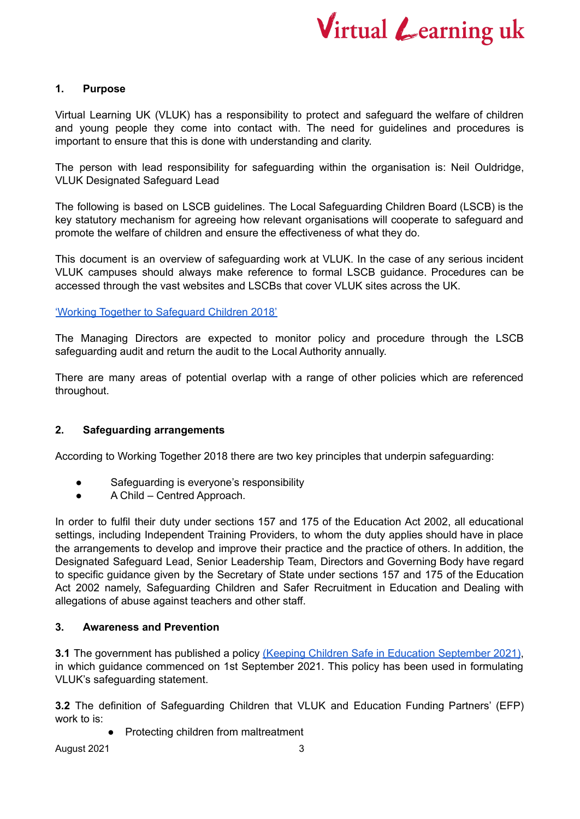

#### **1. Purpose**

Virtual Learning UK (VLUK) has a responsibility to protect and safeguard the welfare of children and young people they come into contact with. The need for guidelines and procedures is important to ensure that this is done with understanding and clarity.

The person with lead responsibility for safeguarding within the organisation is: Neil Ouldridge, VLUK Designated Safeguard Lead

The following is based on LSCB guidelines. The Local Safeguarding Children Board (LSCB) is the key statutory mechanism for agreeing how relevant organisations will cooperate to safeguard and promote the welfare of children and ensure the effectiveness of what they do.

This document is an overview of safeguarding work at VLUK. In the case of any serious incident VLUK campuses should always make reference to formal LSCB guidance. Procedures can be accessed through the vast websites and LSCBs that cover VLUK sites across the UK.

#### 'Working Together to [Safeguard](https://assets.publishing.service.gov.uk/government/uploads/system/uploads/attachment_data/file/729914/Working_Together_to_Safeguard_Children-2018.pdf) Children 2018'

The Managing Directors are expected to monitor policy and procedure through the LSCB safeguarding audit and return the audit to the Local Authority annually.

There are many areas of potential overlap with a range of other policies which are referenced throughout.

#### **2. Safeguarding arrangements**

According to Working Together 2018 there are two key principles that underpin safeguarding:

- Safeguarding is everyone's responsibility
- A Child Centred Approach.

In order to fulfil their duty under sections 157 and 175 of the Education Act 2002, all educational settings, including Independent Training Providers, to whom the duty applies should have in place the arrangements to develop and improve their practice and the practice of others. In addition, the Designated Safeguard Lead, Senior Leadership Team, Directors and Governing Body have regard to specific guidance given by the Secretary of State under sections 157 and 175 of the Education Act 2002 namely, Safeguarding Children and Safer Recruitment in Education and Dealing with allegations of abuse against teachers and other staff.

#### **3. Awareness and Prevention**

**3.1** The government has published a policy (Keeping Children Safe in Education [September](https://assets.publishing.service.gov.uk/government/uploads/system/uploads/attachment_data/file/1007260/Keeping_children_safe_in_education_2021.pdf) 2021), in which guidance commenced on 1st September 2021. This policy has been used in formulating VLUK's safeguarding statement.

**3.2** The definition of Safeguarding Children that VLUK and Education Funding Partners' (EFP) work to is:

**Protecting children from maltreatment**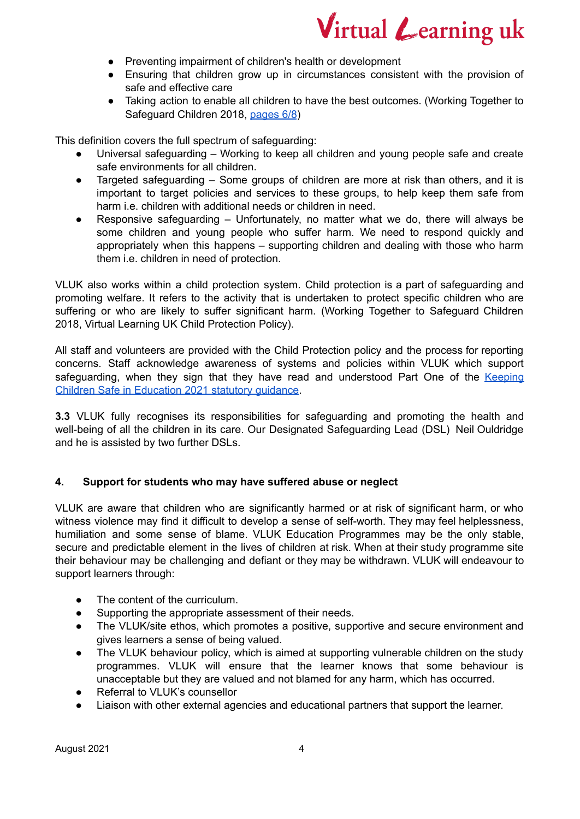

- Preventing impairment of children's health or development
- Ensuring that children grow up in circumstances consistent with the provision of safe and effective care
- Taking action to enable all children to have the best outcomes. (Working Together to Safeguard Children 2018, [pages](https://assets.publishing.service.gov.uk/government/uploads/system/uploads/attachment_data/file/942455/Working_together_to_safeguard_children_Statutory_framework_legislation_relevant_to_safeguarding_and_promoting_the_welfare_of_children.pdf) 6/8)

This definition covers the full spectrum of safeguarding:

- Universal safeguarding Working to keep all children and young people safe and create safe environments for all children.
- Targeted safeguarding  $-$  Some groups of children are more at risk than others, and it is important to target policies and services to these groups, to help keep them safe from harm i.e. children with additional needs or children in need.
- Responsive safeguarding Unfortunately, no matter what we do, there will always be some children and young people who suffer harm. We need to respond quickly and appropriately when this happens – supporting children and dealing with those who harm them i.e. children in need of protection.

VLUK also works within a child protection system. Child protection is a part of safeguarding and promoting welfare. It refers to the activity that is undertaken to protect specific children who are suffering or who are likely to suffer significant harm. (Working Together to Safeguard Children 2018, Virtual Learning UK Child Protection Policy).

All staff and volunteers are provided with the Child Protection policy and the process for reporting concerns. Staff acknowledge awareness of systems and policies within VLUK which support safeguarding, when they sign that they have read and understood Part One of the [Keeping](https://assets.publishing.service.gov.uk/government/uploads/system/uploads/attachment_data/file/1007260/Keeping_children_safe_in_education_2021.pdf) Children Safe in [Education](https://assets.publishing.service.gov.uk/government/uploads/system/uploads/attachment_data/file/1007260/Keeping_children_safe_in_education_2021.pdf) 2021 statutory guidance.

**3.3** VLUK fully recognises its responsibilities for safeguarding and promoting the health and well-being of all the children in its care. Our Designated Safeguarding Lead (DSL) Neil Ouldridge and he is assisted by two further DSLs.

#### **4. Support for students who may have suffered abuse or neglect**

VLUK are aware that children who are significantly harmed or at risk of significant harm, or who witness violence may find it difficult to develop a sense of self-worth. They may feel helplessness, humiliation and some sense of blame. VLUK Education Programmes may be the only stable, secure and predictable element in the lives of children at risk. When at their study programme site their behaviour may be challenging and defiant or they may be withdrawn. VLUK will endeavour to support learners through:

- The content of the curriculum.
- Supporting the appropriate assessment of their needs.
- The VLUK/site ethos, which promotes a positive, supportive and secure environment and gives learners a sense of being valued.
- The VLUK behaviour policy, which is aimed at supporting vulnerable children on the study programmes. VLUK will ensure that the learner knows that some behaviour is unacceptable but they are valued and not blamed for any harm, which has occurred.
- Referral to VLUK's counsellor
- Liaison with other external agencies and educational partners that support the learner.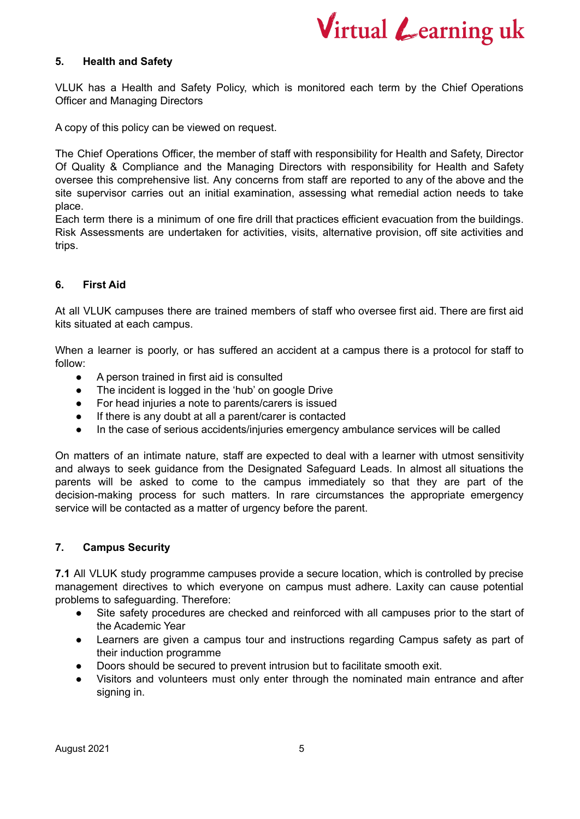

#### **5. Health and Safety**

VLUK has a Health and Safety Policy, which is monitored each term by the Chief Operations Officer and Managing Directors

A copy of this policy can be viewed on request.

The Chief Operations Officer, the member of staff with responsibility for Health and Safety, Director Of Quality & Compliance and the Managing Directors with responsibility for Health and Safety oversee this comprehensive list. Any concerns from staff are reported to any of the above and the site supervisor carries out an initial examination, assessing what remedial action needs to take place.

Each term there is a minimum of one fire drill that practices efficient evacuation from the buildings. Risk Assessments are undertaken for activities, visits, alternative provision, off site activities and trips.

#### **6. First Aid**

At all VLUK campuses there are trained members of staff who oversee first aid. There are first aid kits situated at each campus.

When a learner is poorly, or has suffered an accident at a campus there is a protocol for staff to follow:

- A person trained in first aid is consulted
- The incident is logged in the 'hub' on google Drive
- For head injuries a note to parents/carers is issued
- If there is any doubt at all a parent/carer is contacted
- In the case of serious accidents/injuries emergency ambulance services will be called

On matters of an intimate nature, staff are expected to deal with a learner with utmost sensitivity and always to seek guidance from the Designated Safeguard Leads. In almost all situations the parents will be asked to come to the campus immediately so that they are part of the decision-making process for such matters. In rare circumstances the appropriate emergency service will be contacted as a matter of urgency before the parent.

#### **7. Campus Security**

**7.1** All VLUK study programme campuses provide a secure location, which is controlled by precise management directives to which everyone on campus must adhere. Laxity can cause potential problems to safeguarding. Therefore:

- Site safety procedures are checked and reinforced with all campuses prior to the start of the Academic Year
- Learners are given a campus tour and instructions regarding Campus safety as part of their induction programme
- Doors should be secured to prevent intrusion but to facilitate smooth exit.
- Visitors and volunteers must only enter through the nominated main entrance and after signing in.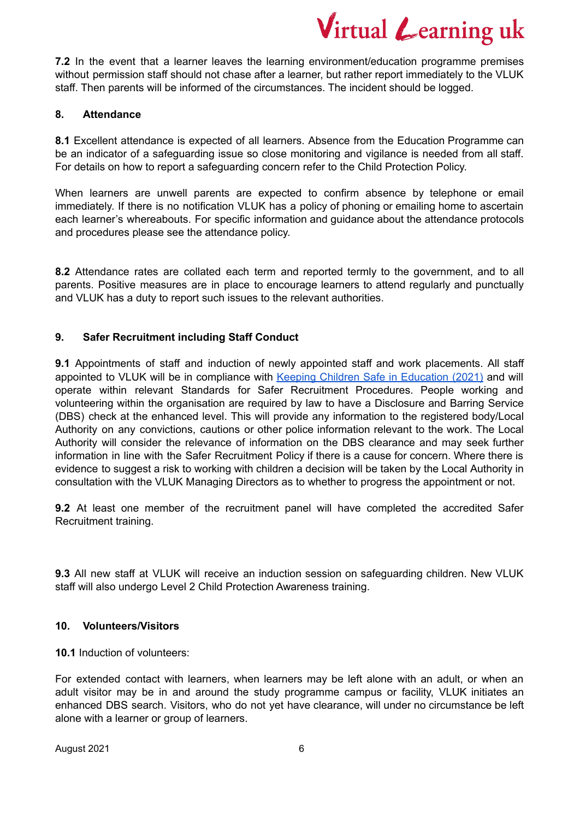**7.2** In the event that a learner leaves the learning environment/education programme premises without permission staff should not chase after a learner, but rather report immediately to the VLUK staff. Then parents will be informed of the circumstances. The incident should be logged.

#### **8. Attendance**

**8.1** Excellent attendance is expected of all learners. Absence from the Education Programme can be an indicator of a safeguarding issue so close monitoring and vigilance is needed from all staff. For details on how to report a safeguarding concern refer to the Child Protection Policy.

When learners are unwell parents are expected to confirm absence by telephone or email immediately. If there is no notification VLUK has a policy of phoning or emailing home to ascertain each learner's whereabouts. For specific information and guidance about the attendance protocols and procedures please see the attendance policy.

**8.2** Attendance rates are collated each term and reported termly to the government, and to all parents. Positive measures are in place to encourage learners to attend regularly and punctually and VLUK has a duty to report such issues to the relevant authorities.

#### **9. Safer Recruitment including Staff Conduct**

**9.1** Appointments of staff and induction of newly appointed staff and work placements. All staff appointed to VLUK will be in compliance with Keeping Children Safe in [Education](https://assets.publishing.service.gov.uk/government/uploads/system/uploads/attachment_data/file/1007260/Keeping_children_safe_in_education_2021.pdf) (2021) and will operate within relevant Standards for Safer Recruitment Procedures. People working and volunteering within the organisation are required by law to have a Disclosure and Barring Service (DBS) check at the enhanced level. This will provide any information to the registered body/Local Authority on any convictions, cautions or other police information relevant to the work. The Local Authority will consider the relevance of information on the DBS clearance and may seek further information in line with the Safer Recruitment Policy if there is a cause for concern. Where there is evidence to suggest a risk to working with children a decision will be taken by the Local Authority in consultation with the VLUK Managing Directors as to whether to progress the appointment or not.

**9.2** At least one member of the recruitment panel will have completed the accredited Safer Recruitment training.

**9.3** All new staff at VLUK will receive an induction session on safeguarding children. New VLUK staff will also undergo Level 2 Child Protection Awareness training.

#### **10. Volunteers/Visitors**

**10.1** Induction of volunteers:

For extended contact with learners, when learners may be left alone with an adult, or when an adult visitor may be in and around the study programme campus or facility, VLUK initiates an enhanced DBS search. Visitors, who do not yet have clearance, will under no circumstance be left alone with a learner or group of learners.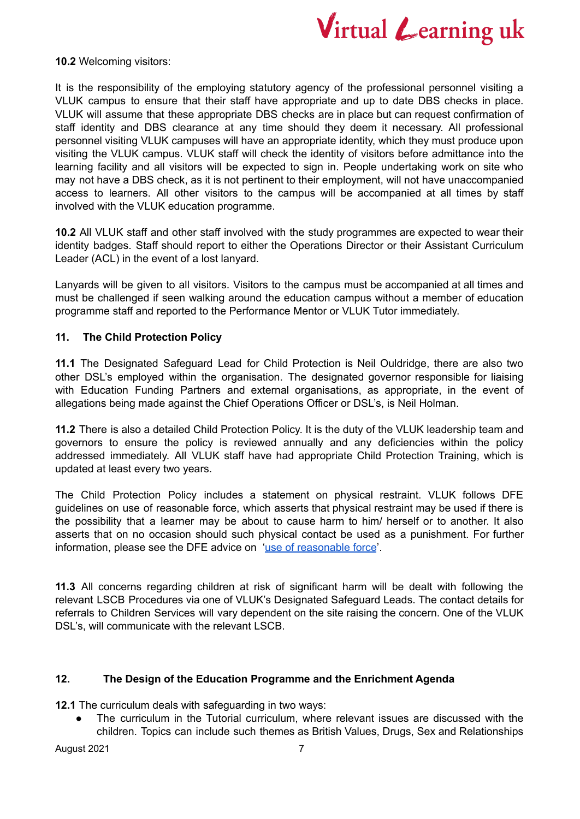

**10.2** Welcoming visitors:

It is the responsibility of the employing statutory agency of the professional personnel visiting a VLUK campus to ensure that their staff have appropriate and up to date DBS checks in place. VLUK will assume that these appropriate DBS checks are in place but can request confirmation of staff identity and DBS clearance at any time should they deem it necessary. All professional personnel visiting VLUK campuses will have an appropriate identity, which they must produce upon visiting the VLUK campus. VLUK staff will check the identity of visitors before admittance into the learning facility and all visitors will be expected to sign in. People undertaking work on site who may not have a DBS check, as it is not pertinent to their employment, will not have unaccompanied access to learners. All other visitors to the campus will be accompanied at all times by staff involved with the VLUK education programme.

**10.2** All VLUK staff and other staff involved with the study programmes are expected to wear their identity badges. Staff should report to either the Operations Director or their Assistant Curriculum Leader (ACL) in the event of a lost lanyard.

Lanyards will be given to all visitors. Visitors to the campus must be accompanied at all times and must be challenged if seen walking around the education campus without a member of education programme staff and reported to the Performance Mentor or VLUK Tutor immediately.

#### **11. The Child Protection Policy**

**11.1** The Designated Safeguard Lead for Child Protection is Neil Ouldridge, there are also two other DSL's employed within the organisation. The designated governor responsible for liaising with Education Funding Partners and external organisations, as appropriate, in the event of allegations being made against the Chief Operations Officer or DSL's, is Neil Holman.

**11.2** There is also a detailed Child Protection Policy. It is the duty of the VLUK leadership team and governors to ensure the policy is reviewed annually and any deficiencies within the policy addressed immediately. All VLUK staff have had appropriate Child Protection Training, which is updated at least every two years.

The Child Protection Policy includes a statement on physical restraint. VLUK follows DFE guidelines on use of reasonable force, which asserts that physical restraint may be used if there is the possibility that a learner may be about to cause harm to him/ herself or to another. It also asserts that on no occasion should such physical contact be used as a punishment. For further information, please see the DFE advice on 'use of [reasonable](https://www.gov.uk/government/publications/use-of-reasonable-force-in-schools) force'.

**11.3** All concerns regarding children at risk of significant harm will be dealt with following the relevant LSCB Procedures via one of VLUK's Designated Safeguard Leads. The contact details for referrals to Children Services will vary dependent on the site raising the concern. One of the VLUK DSL's, will communicate with the relevant LSCB.

#### **12. The Design of the Education Programme and the Enrichment Agenda**

**12.1** The curriculum deals with safeguarding in two ways:

The curriculum in the Tutorial curriculum, where relevant issues are discussed with the children. Topics can include such themes as British Values, Drugs, Sex and Relationships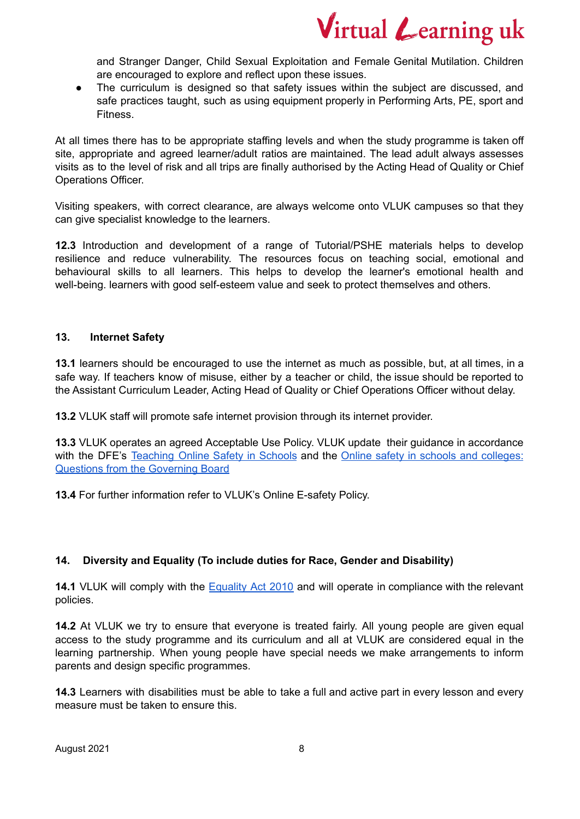and Stranger Danger, Child Sexual Exploitation and Female Genital Mutilation. Children are encouraged to explore and reflect upon these issues.

• The curriculum is designed so that safety issues within the subject are discussed, and safe practices taught, such as using equipment properly in Performing Arts, PE, sport and Fitness.

At all times there has to be appropriate staffing levels and when the study programme is taken off site, appropriate and agreed learner/adult ratios are maintained. The lead adult always assesses visits as to the level of risk and all trips are finally authorised by the Acting Head of Quality or Chief Operations Officer.

Visiting speakers, with correct clearance, are always welcome onto VLUK campuses so that they can give specialist knowledge to the learners.

**12.3** Introduction and development of a range of Tutorial/PSHE materials helps to develop resilience and reduce vulnerability. The resources focus on teaching social, emotional and behavioural skills to all learners. This helps to develop the learner's emotional health and well-being. learners with good self-esteem value and seek to protect themselves and others.

#### **13. Internet Safety**

**13.1** learners should be encouraged to use the internet as much as possible, but, at all times, in a safe way. If teachers know of misuse, either by a teacher or child, the issue should be reported to the Assistant Curriculum Leader, Acting Head of Quality or Chief Operations Officer without delay.

**13.2** VLUK staff will promote safe internet provision through its internet provider.

**13.3** VLUK operates an agreed Acceptable Use Policy. VLUK update their guidance in accordance with the DFE's [Teaching](https://assets.publishing.service.gov.uk/government/uploads/system/uploads/attachment_data/file/811796/Teaching_online_safety_in_school.pdf) Online Safety in Schools and the Online safety in schools and [colleges:](https://assets.publishing.service.gov.uk/government/uploads/system/uploads/attachment_data/file/896327/Governors_Guidance_-English_languge._.pdf) Questions from the [Governing](https://assets.publishing.service.gov.uk/government/uploads/system/uploads/attachment_data/file/896327/Governors_Guidance_-English_languge._.pdf) Board

**13.4** For further information refer to VLUK's Online E-safety Policy.

#### **14. Diversity and Equality (To include duties for Race, Gender and Disability)**

**14.1** VLUK will comply with the [Equality](https://assets.publishing.service.gov.uk/government/uploads/system/uploads/attachment_data/file/315587/Equality_Act_Advice_Final.pdf) Act 2010 and will operate in compliance with the relevant policies.

**14.2** At VLUK we try to ensure that everyone is treated fairly. All young people are given equal access to the study programme and its curriculum and all at VLUK are considered equal in the learning partnership. When young people have special needs we make arrangements to inform parents and design specific programmes.

**14.3** Learners with disabilities must be able to take a full and active part in every lesson and every measure must be taken to ensure this.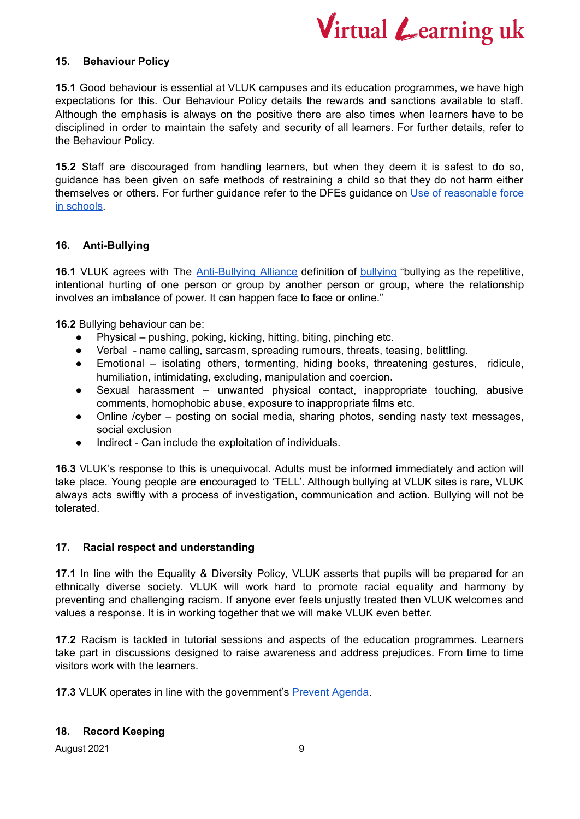

#### **15. Behaviour Policy**

**15.1** Good behaviour is essential at VLUK campuses and its education programmes, we have high expectations for this. Our Behaviour Policy details the rewards and sanctions available to staff. Although the emphasis is always on the positive there are also times when learners have to be disciplined in order to maintain the safety and security of all learners. For further details, refer to the Behaviour Policy.

**15.2** Staff are discouraged from handling learners, but when they deem it is safest to do so, guidance has been given on safe methods of restraining a child so that they do not harm either themselves or others. For further guidance refer to the DFEs guidance on Use of [reasonable](https://assets.publishing.service.gov.uk/government/uploads/system/uploads/attachment_data/file/444051/Use_of_reasonable_force_advice_Reviewed_July_2015.pdf) force in [schools.](https://assets.publishing.service.gov.uk/government/uploads/system/uploads/attachment_data/file/444051/Use_of_reasonable_force_advice_Reviewed_July_2015.pdf)

#### **16. Anti-Bullying**

**16.1** VLUK agrees with The [Anti-Bullying](https://www.anti-bullyingalliance.org.uk/) Alliance definition of [bullying](https://www.anti-bullyingalliance.org.uk/tools-information/all-about-bullying/what-bullying/aba-definition-bullying) "bullying as the repetitive, intentional hurting of one person or group by another person or group, where the relationship involves an imbalance of power. It can happen face to face or online."

**16.2** Bullying behaviour can be:

- Physical pushing, poking, kicking, hitting, biting, pinching etc.
- Verbal name calling, sarcasm, spreading rumours, threats, teasing, belittling.
- Emotional isolating others, tormenting, hiding books, threatening gestures, ridicule, humiliation, intimidating, excluding, manipulation and coercion.
- Sexual harassment unwanted physical contact, inappropriate touching, abusive comments, homophobic abuse, exposure to inappropriate films etc.
- Online /cyber posting on social media, sharing photos, sending nasty text messages, social exclusion
- Indirect Can include the exploitation of individuals.

**16.3** VLUK's response to this is unequivocal. Adults must be informed immediately and action will take place. Young people are encouraged to 'TELL'. Although bullying at VLUK sites is rare, VLUK always acts swiftly with a process of investigation, communication and action. Bullying will not be tolerated.

#### **17. Racial respect and understanding**

**17.1** In line with the Equality & Diversity Policy, VLUK asserts that pupils will be prepared for an ethnically diverse society. VLUK will work hard to promote racial equality and harmony by preventing and challenging racism. If anyone ever feels unjustly treated then VLUK welcomes and values a response. It is in working together that we will make VLUK even better.

**17.2** Racism is tackled in tutorial sessions and aspects of the education programmes. Learners take part in discussions designed to raise awareness and address prejudices. From time to time visitors work with the learners.

**17.3** VLUK operates in line with the government's [Prevent](https://www.gov.uk/government/publications/prevent-duty-guidance/revised-prevent-duty-guidance-for-england-and-wales) Agenda.

#### **18. Record Keeping**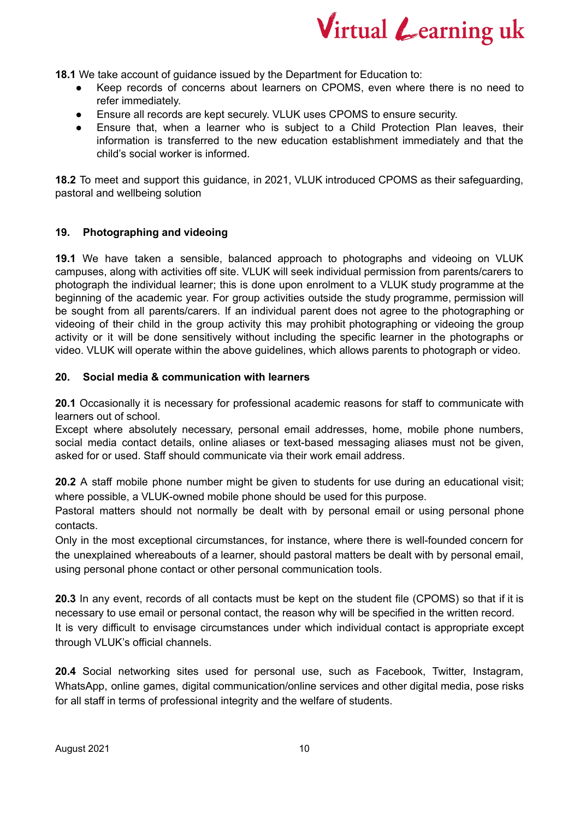

**18.1** We take account of guidance issued by the Department for Education to:

- Keep records of concerns about learners on CPOMS, even where there is no need to refer immediately.
- Ensure all records are kept securely. VLUK uses CPOMS to ensure security.
- Ensure that, when a learner who is subject to a Child Protection Plan leaves, their information is transferred to the new education establishment immediately and that the child's social worker is informed.

**18.2** To meet and support this guidance, in 2021, VLUK introduced CPOMS as their safeguarding, pastoral and wellbeing solution

#### **19. Photographing and videoing**

**19.1** We have taken a sensible, balanced approach to photographs and videoing on VLUK campuses, along with activities off site. VLUK will seek individual permission from parents/carers to photograph the individual learner; this is done upon enrolment to a VLUK study programme at the beginning of the academic year. For group activities outside the study programme, permission will be sought from all parents/carers. If an individual parent does not agree to the photographing or videoing of their child in the group activity this may prohibit photographing or videoing the group activity or it will be done sensitively without including the specific learner in the photographs or video. VLUK will operate within the above guidelines, which allows parents to photograph or video.

#### **20. Social media & communication with learners**

**20.1** Occasionally it is necessary for professional academic reasons for staff to communicate with learners out of school.

Except where absolutely necessary, personal email addresses, home, mobile phone numbers, social media contact details, online aliases or text-based messaging aliases must not be given, asked for or used. Staff should communicate via their work email address.

**20.2** A staff mobile phone number might be given to students for use during an educational visit; where possible, a VLUK-owned mobile phone should be used for this purpose.

Pastoral matters should not normally be dealt with by personal email or using personal phone contacts.

Only in the most exceptional circumstances, for instance, where there is well-founded concern for the unexplained whereabouts of a learner, should pastoral matters be dealt with by personal email, using personal phone contact or other personal communication tools.

**20.3** In any event, records of all contacts must be kept on the student file (CPOMS) so that if it is necessary to use email or personal contact, the reason why will be specified in the written record. It is very difficult to envisage circumstances under which individual contact is appropriate except through VLUK's official channels.

**20.4** Social networking sites used for personal use, such as Facebook, Twitter, Instagram, WhatsApp, online games, digital communication/online services and other digital media, pose risks for all staff in terms of professional integrity and the welfare of students.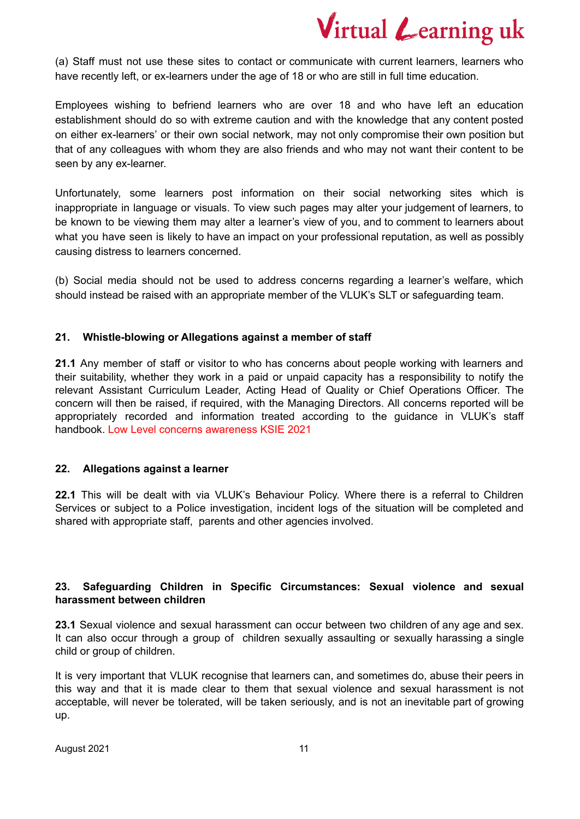(a) Staff must not use these sites to contact or communicate with current learners, learners who have recently left, or ex-learners under the age of 18 or who are still in full time education.

Employees wishing to befriend learners who are over 18 and who have left an education establishment should do so with extreme caution and with the knowledge that any content posted on either ex-learners' or their own social network, may not only compromise their own position but that of any colleagues with whom they are also friends and who may not want their content to be seen by any ex-learner.

Unfortunately, some learners post information on their social networking sites which is inappropriate in language or visuals. To view such pages may alter your judgement of learners, to be known to be viewing them may alter a learner's view of you, and to comment to learners about what you have seen is likely to have an impact on your professional reputation, as well as possibly causing distress to learners concerned.

(b) Social media should not be used to address concerns regarding a learner's welfare, which should instead be raised with an appropriate member of the VLUK's SLT or safeguarding team.

#### **21. Whistle-blowing or Allegations against a member of staff**

**21.1** Any member of staff or visitor to who has concerns about people working with learners and their suitability, whether they work in a paid or unpaid capacity has a responsibility to notify the relevant Assistant Curriculum Leader, Acting Head of Quality or Chief Operations Officer. The concern will then be raised, if required, with the Managing Directors. All concerns reported will be appropriately recorded and information treated according to the guidance in VLUK's staff handbook. Low Level concerns awareness KSIE 2021

#### **22. Allegations against a learner**

**22.1** This will be dealt with via VLUK's Behaviour Policy. Where there is a referral to Children Services or subject to a Police investigation, incident logs of the situation will be completed and shared with appropriate staff, parents and other agencies involved.

#### **23. Safeguarding Children in Specific Circumstances: Sexual violence and sexual harassment between children**

**23.1** Sexual violence and sexual harassment can occur between two children of any age and sex. It can also occur through a group of children sexually assaulting or sexually harassing a single child or group of children.

It is very important that VLUK recognise that learners can, and sometimes do, abuse their peers in this way and that it is made clear to them that sexual violence and sexual harassment is not acceptable, will never be tolerated, will be taken seriously, and is not an inevitable part of growing up.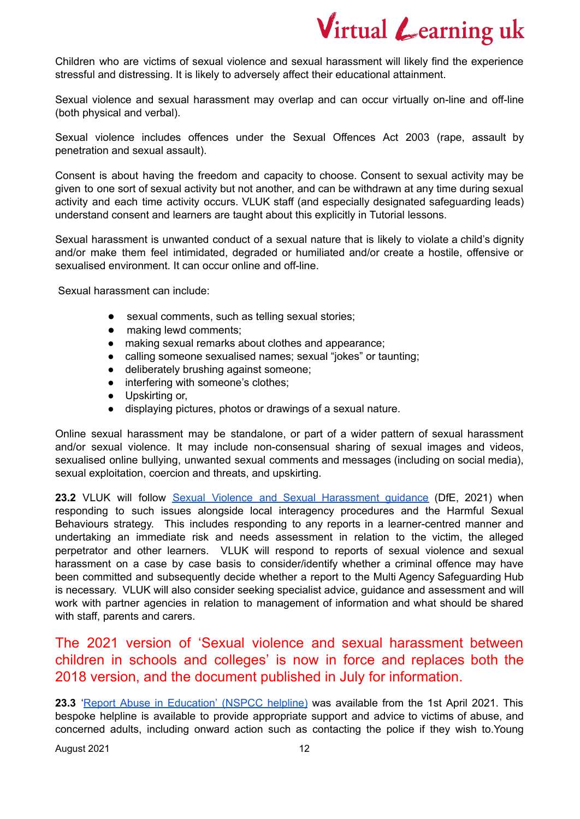Children who are victims of sexual violence and sexual harassment will likely find the experience stressful and distressing. It is likely to adversely affect their educational attainment.

Sexual violence and sexual harassment may overlap and can occur virtually on-line and off-line (both physical and verbal).

Sexual violence includes offences under the Sexual Offences Act 2003 (rape, assault by penetration and sexual assault).

Consent is about having the freedom and capacity to choose. Consent to sexual activity may be given to one sort of sexual activity but not another, and can be withdrawn at any time during sexual activity and each time activity occurs. VLUK staff (and especially designated safeguarding leads) understand consent and learners are taught about this explicitly in Tutorial lessons.

Sexual harassment is unwanted conduct of a sexual nature that is likely to violate a child's dignity and/or make them feel intimidated, degraded or humiliated and/or create a hostile, offensive or sexualised environment. It can occur online and off-line.

Sexual harassment can include:

- sexual comments, such as telling sexual stories;
- making lewd comments;
- making sexual remarks about clothes and appearance;
- calling someone sexualised names; sexual "jokes" or taunting;
- deliberately brushing against someone;
- interfering with someone's clothes;
- Upskirting or,
- displaying pictures, photos or drawings of a sexual nature.

Online sexual harassment may be standalone, or part of a wider pattern of sexual harassment and/or sexual violence. It may include non-consensual sharing of sexual images and videos, sexualised online bullying, unwanted sexual comments and messages (including on social media), sexual exploitation, coercion and threats, and upskirting.

**23.2** VLUK will follow Sexual Violence and Sexual [Harassment](https://assets.publishing.service.gov.uk/government/uploads/system/uploads/attachment_data/file/1014224/Sexual_violence_and_sexual_harassment_between_children_in_schools_and_colleges.pdf) guidance (DfE, 2021) when responding to such issues alongside local interagency procedures and the Harmful Sexual Behaviours strategy. This includes responding to any reports in a learner-centred manner and undertaking an immediate risk and needs assessment in relation to the victim, the alleged perpetrator and other learners. VLUK will respond to reports of sexual violence and sexual harassment on a case by case basis to consider/identify whether a criminal offence may have been committed and subsequently decide whether a report to the Multi Agency Safeguarding Hub is necessary. VLUK will also consider seeking specialist advice, guidance and assessment and will work with partner agencies in relation to management of information and what should be shared with staff, parents and carers.

The 2021 version of 'Sexual violence and sexual harassment between children in schools and colleges' is now in force and replaces both the 2018 version, and the document published in July for information.

**23.3** 'Report Abuse in [Education'](https://www.nspcc.org.uk/about-us/news-opinion/2021/report-abuse-education-helpline/) (NSPCC helpline) was available from the 1st April 2021. This bespoke helpline is available to provide appropriate support and advice to victims of abuse, and concerned adults, including onward action such as contacting the police if they wish to.Young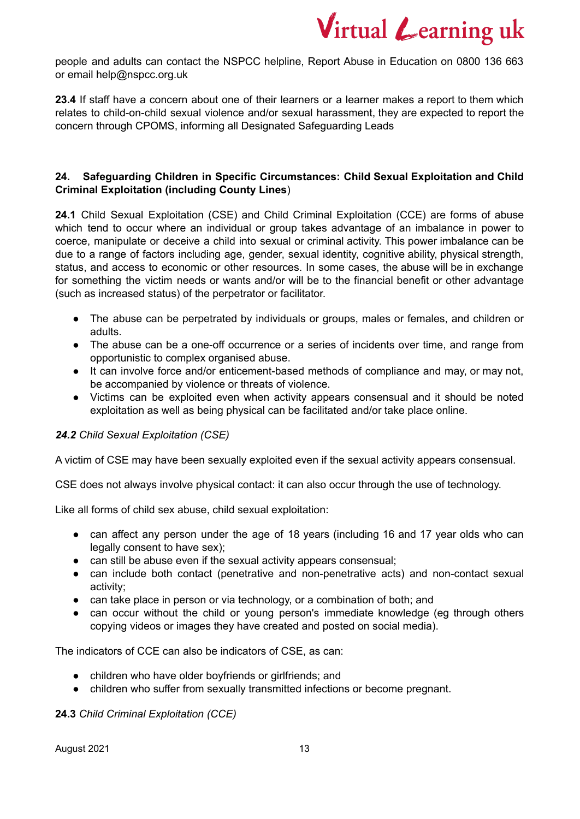people and adults can contact the NSPCC helpline, Report Abuse in Education on 0800 136 663 or email help@nspcc.org.uk

23.4 If staff have a concern about one of their learners or a learner makes a report to them which relates to child-on-child sexual violence and/or sexual harassment, they are expected to report the concern through CPOMS, informing all Designated Safeguarding Leads

#### **24. Safeguarding Children in Specific Circumstances: Child Sexual Exploitation and Child Criminal Exploitation (including County Lines**)

**24.1** Child Sexual Exploitation (CSE) and Child Criminal Exploitation (CCE) are forms of abuse which tend to occur where an individual or group takes advantage of an imbalance in power to coerce, manipulate or deceive a child into sexual or criminal activity. This power imbalance can be due to a range of factors including age, gender, sexual identity, cognitive ability, physical strength, status, and access to economic or other resources. In some cases, the abuse will be in exchange for something the victim needs or wants and/or will be to the financial benefit or other advantage (such as increased status) of the perpetrator or facilitator.

- The abuse can be perpetrated by individuals or groups, males or females, and children or adults.
- The abuse can be a one-off occurrence or a series of incidents over time, and range from opportunistic to complex organised abuse.
- It can involve force and/or enticement-based methods of compliance and may, or may not, be accompanied by violence or threats of violence.
- Victims can be exploited even when activity appears consensual and it should be noted exploitation as well as being physical can be facilitated and/or take place online.

#### *24.2 Child Sexual Exploitation (CSE)*

A victim of CSE may have been sexually exploited even if the sexual activity appears consensual.

CSE does not always involve physical contact: it can also occur through the use of technology.

Like all forms of child sex abuse, child sexual exploitation:

- can affect any person under the age of 18 years (including 16 and 17 year olds who can legally consent to have sex);
- can still be abuse even if the sexual activity appears consensual;
- can include both contact (penetrative and non-penetrative acts) and non-contact sexual activity;
- can take place in person or via technology, or a combination of both; and
- can occur without the child or young person's immediate knowledge (eg through others copying videos or images they have created and posted on social media).

The indicators of CCE can also be indicators of CSE, as can:

- children who have older boyfriends or girlfriends; and
- children who suffer from sexually transmitted infections or become pregnant.

#### **24.3** *Child Criminal Exploitation (CCE)*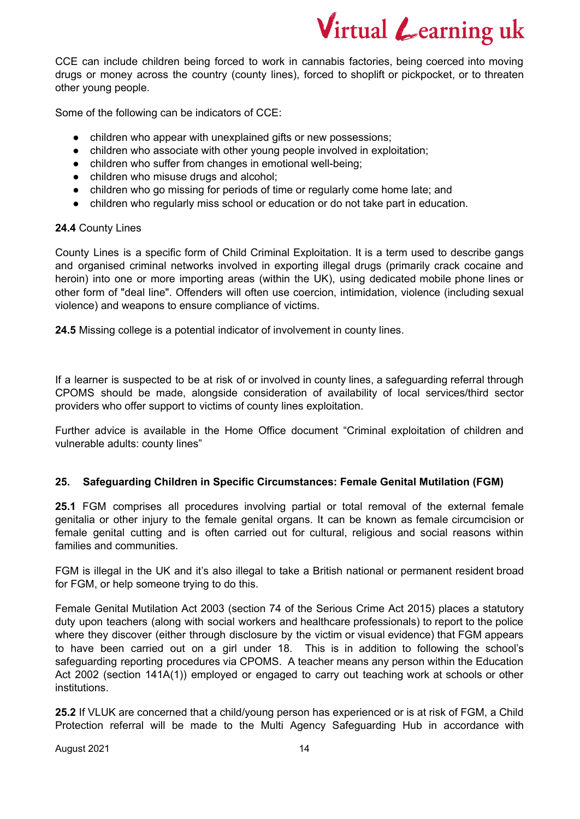CCE can include children being forced to work in cannabis factories, being coerced into moving drugs or money across the country (county lines), forced to shoplift or pickpocket, or to threaten other young people.

Some of the following can be indicators of CCE:

- children who appear with unexplained gifts or new possessions;
- children who associate with other young people involved in exploitation;
- children who suffer from changes in emotional well-being;
- children who misuse drugs and alcohol;
- children who go missing for periods of time or regularly come home late; and
- children who regularly miss school or education or do not take part in education.

#### **24.4** County Lines

County Lines is a specific form of Child Criminal Exploitation. It is a term used to describe gangs and organised criminal networks involved in exporting illegal drugs (primarily crack cocaine and heroin) into one or more importing areas (within the UK), using dedicated mobile phone lines or other form of "deal line". Offenders will often use coercion, intimidation, violence (including sexual violence) and weapons to ensure compliance of victims.

**24.5** Missing college is a potential indicator of involvement in county lines.

If a learner is suspected to be at risk of or involved in county lines, a safeguarding referral through CPOMS should be made, alongside consideration of availability of local services/third sector providers who offer support to victims of county lines exploitation.

Further advice is available in the Home Office document "Criminal exploitation of children and vulnerable adults: county lines"

#### **25. Safeguarding Children in Specific Circumstances: Female Genital Mutilation (FGM)**

**25.1** FGM comprises all procedures involving partial or total removal of the external female genitalia or other injury to the female genital organs. It can be known as female circumcision or female genital cutting and is often carried out for cultural, religious and social reasons within families and communities.

FGM is illegal in the UK and it's also illegal to take a British national or permanent resident broad for FGM, or help someone trying to do this.

Female Genital Mutilation Act 2003 (section 74 of the Serious Crime Act 2015) places a statutory duty upon teachers (along with social workers and healthcare professionals) to report to the police where they discover (either through disclosure by the victim or visual evidence) that FGM appears to have been carried out on a girl under 18. This is in addition to following the school's safeguarding reporting procedures via CPOMS. A teacher means any person within the Education Act 2002 (section 141A(1)) employed or engaged to carry out teaching work at schools or other institutions.

**25.2** If VLUK are concerned that a child/young person has experienced or is at risk of FGM, a Child Protection referral will be made to the Multi Agency Safeguarding Hub in accordance with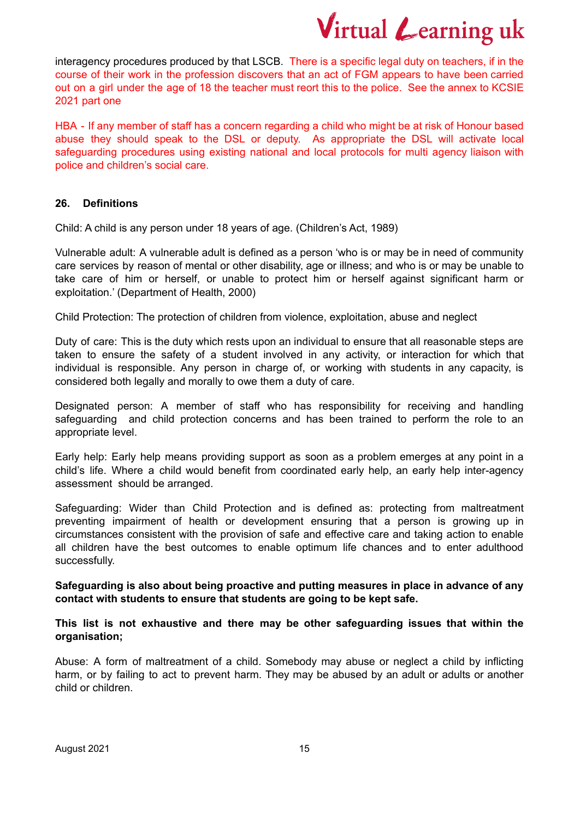interagency procedures produced by that LSCB. There is a specific legal duty on teachers, if in the course of their work in the profession discovers that an act of FGM appears to have been carried out on a girl under the age of 18 the teacher must reort this to the police. See the annex to KCSIE 2021 part one

HBA - If any member of staff has a concern regarding a child who might be at risk of Honour based abuse they should speak to the DSL or deputy. As appropriate the DSL will activate local safeguarding procedures using existing national and local protocols for multi agency liaison with police and children's social care.

#### **26. Definitions**

Child: A child is any person under 18 years of age. (Children's Act, 1989)

Vulnerable adult: A vulnerable adult is defined as a person 'who is or may be in need of community care services by reason of mental or other disability, age or illness; and who is or may be unable to take care of him or herself, or unable to protect him or herself against significant harm or exploitation.' (Department of Health, 2000)

Child Protection: The protection of children from violence, exploitation, abuse and neglect

Duty of care: This is the duty which rests upon an individual to ensure that all reasonable steps are taken to ensure the safety of a student involved in any activity, or interaction for which that individual is responsible. Any person in charge of, or working with students in any capacity, is considered both legally and morally to owe them a duty of care.

Designated person: A member of staff who has responsibility for receiving and handling safeguarding and child protection concerns and has been trained to perform the role to an appropriate level.

Early help: Early help means providing support as soon as a problem emerges at any point in a child's life. Where a child would benefit from coordinated early help, an early help inter-agency assessment should be arranged.

Safeguarding: Wider than Child Protection and is defined as: protecting from maltreatment preventing impairment of health or development ensuring that a person is growing up in circumstances consistent with the provision of safe and effective care and taking action to enable all children have the best outcomes to enable optimum life chances and to enter adulthood successfully.

**Safeguarding is also about being proactive and putting measures in place in advance of any contact with students to ensure that students are going to be kept safe.**

**This list is not exhaustive and there may be other safeguarding issues that within the organisation;**

Abuse: A form of maltreatment of a child. Somebody may abuse or neglect a child by inflicting harm, or by failing to act to prevent harm. They may be abused by an adult or adults or another child or children.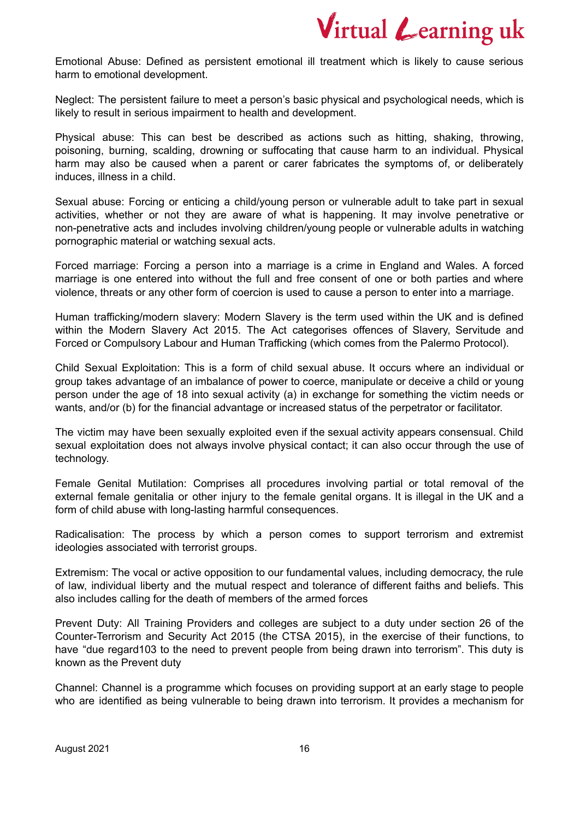Emotional Abuse: Defined as persistent emotional ill treatment which is likely to cause serious harm to emotional development.

Neglect: The persistent failure to meet a person's basic physical and psychological needs, which is likely to result in serious impairment to health and development.

Physical abuse: This can best be described as actions such as hitting, shaking, throwing, poisoning, burning, scalding, drowning or suffocating that cause harm to an individual. Physical harm may also be caused when a parent or carer fabricates the symptoms of, or deliberately induces, illness in a child.

Sexual abuse: Forcing or enticing a child/young person or vulnerable adult to take part in sexual activities, whether or not they are aware of what is happening. It may involve penetrative or non-penetrative acts and includes involving children/young people or vulnerable adults in watching pornographic material or watching sexual acts.

Forced marriage: Forcing a person into a marriage is a crime in England and Wales. A forced marriage is one entered into without the full and free consent of one or both parties and where violence, threats or any other form of coercion is used to cause a person to enter into a marriage.

Human trafficking/modern slavery: Modern Slavery is the term used within the UK and is defined within the Modern Slavery Act 2015. The Act categorises offences of Slavery, Servitude and Forced or Compulsory Labour and Human Trafficking (which comes from the Palermo Protocol).

Child Sexual Exploitation: This is a form of child sexual abuse. It occurs where an individual or group takes advantage of an imbalance of power to coerce, manipulate or deceive a child or young person under the age of 18 into sexual activity (a) in exchange for something the victim needs or wants, and/or (b) for the financial advantage or increased status of the perpetrator or facilitator.

The victim may have been sexually exploited even if the sexual activity appears consensual. Child sexual exploitation does not always involve physical contact; it can also occur through the use of technology.

Female Genital Mutilation: Comprises all procedures involving partial or total removal of the external female genitalia or other injury to the female genital organs. It is illegal in the UK and a form of child abuse with long-lasting harmful consequences.

Radicalisation: The process by which a person comes to support terrorism and extremist ideologies associated with terrorist groups.

Extremism: The vocal or active opposition to our fundamental values, including democracy, the rule of law, individual liberty and the mutual respect and tolerance of different faiths and beliefs. This also includes calling for the death of members of the armed forces

Prevent Duty: All Training Providers and colleges are subject to a duty under section 26 of the Counter-Terrorism and Security Act 2015 (the CTSA 2015), in the exercise of their functions, to have "due regard103 to the need to prevent people from being drawn into terrorism". This duty is known as the Prevent duty

Channel: Channel is a programme which focuses on providing support at an early stage to people who are identified as being vulnerable to being drawn into terrorism. It provides a mechanism for